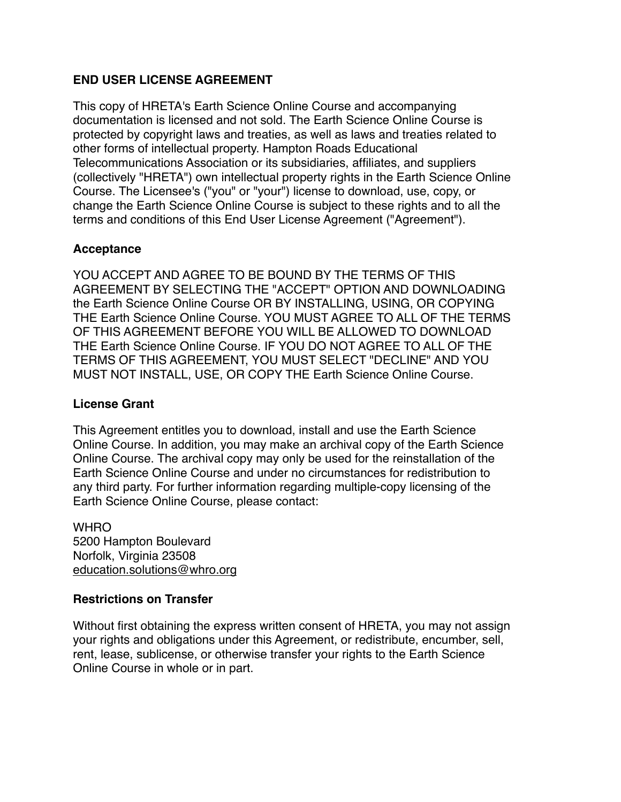## **END USER LICENSE AGREEMENT**

This copy of HRETA's Earth Science Online Course and accompanying documentation is licensed and not sold. The Earth Science Online Course is protected by copyright laws and treaties, as well as laws and treaties related to other forms of intellectual property. Hampton Roads Educational Telecommunications Association or its subsidiaries, affiliates, and suppliers (collectively "HRETA") own intellectual property rights in the Earth Science Online Course. The Licensee's ("you" or "your") license to download, use, copy, or change the Earth Science Online Course is subject to these rights and to all the terms and conditions of this End User License Agreement ("Agreement").

## **Acceptance**

YOU ACCEPT AND AGREE TO BE BOUND BY THE TERMS OF THIS AGREEMENT BY SELECTING THE "ACCEPT" OPTION AND DOWNLOADING the Earth Science Online Course OR BY INSTALLING, USING, OR COPYING THE Earth Science Online Course. YOU MUST AGREE TO ALL OF THE TERMS OF THIS AGREEMENT BEFORE YOU WILL BE ALLOWED TO DOWNLOAD THE Earth Science Online Course. IF YOU DO NOT AGREE TO ALL OF THE TERMS OF THIS AGREEMENT, YOU MUST SELECT "DECLINE" AND YOU MUST NOT INSTALL, USE, OR COPY THE Earth Science Online Course.

## **License Grant**

This Agreement entitles you to download, install and use the Earth Science Online Course. In addition, you may make an archival copy of the Earth Science Online Course. The archival copy may only be used for the reinstallation of the Earth Science Online Course and under no circumstances for redistribution to any third party. For further information regarding multiple-copy licensing of the Earth Science Online Course, please contact:

**WHRO** 5200 Hampton Boulevard Norfolk, Virginia 23508 [education.solutions@whro.org](mailto:education.solutions@whro.org)

## **Restrictions on Transfer**

Without first obtaining the express written consent of HRETA, you may not assign your rights and obligations under this Agreement, or redistribute, encumber, sell, rent, lease, sublicense, or otherwise transfer your rights to the Earth Science Online Course in whole or in part.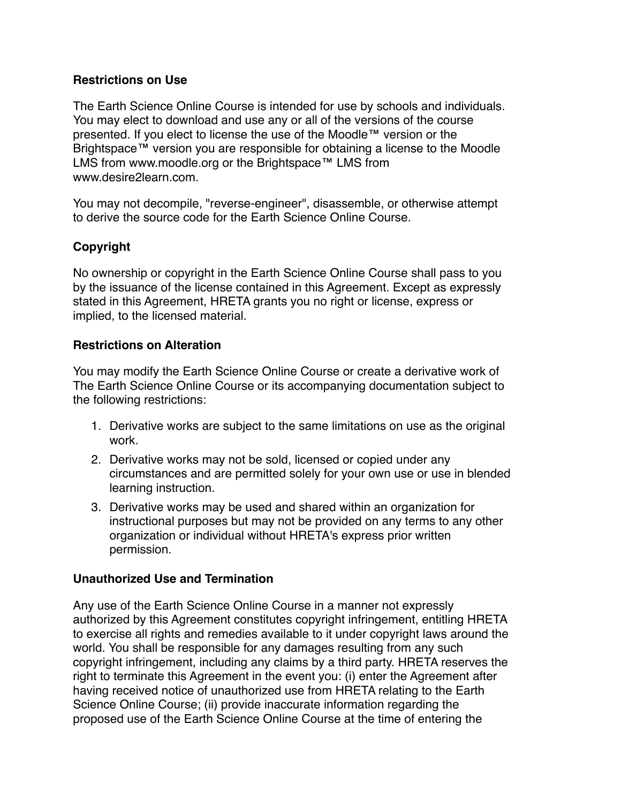#### **Restrictions on Use**

The Earth Science Online Course is intended for use by schools and individuals. You may elect to download and use any or all of the versions of the course presented. If you elect to license the use of the Moodle™ version or the Brightspace™ version you are responsible for obtaining a license to the Moodle LMS from www.moodle.org or the Brightspace™ LMS from www.desire2learn.com.

You may not decompile, "reverse-engineer", disassemble, or otherwise attempt to derive the source code for the Earth Science Online Course.

# **Copyright**

No ownership or copyright in the Earth Science Online Course shall pass to you by the issuance of the license contained in this Agreement. Except as expressly stated in this Agreement, HRETA grants you no right or license, express or implied, to the licensed material.

#### **Restrictions on Alteration**

You may modify the Earth Science Online Course or create a derivative work of The Earth Science Online Course or its accompanying documentation subject to the following restrictions:

- 1. Derivative works are subject to the same limitations on use as the original work.
- 2. Derivative works may not be sold, licensed or copied under any circumstances and are permitted solely for your own use or use in blended learning instruction.
- 3. Derivative works may be used and shared within an organization for instructional purposes but may not be provided on any terms to any other organization or individual without HRETA's express prior written permission.

#### **Unauthorized Use and Termination**

Any use of the Earth Science Online Course in a manner not expressly authorized by this Agreement constitutes copyright infringement, entitling HRETA to exercise all rights and remedies available to it under copyright laws around the world. You shall be responsible for any damages resulting from any such copyright infringement, including any claims by a third party. HRETA reserves the right to terminate this Agreement in the event you: (i) enter the Agreement after having received notice of unauthorized use from HRETA relating to the Earth Science Online Course; (ii) provide inaccurate information regarding the proposed use of the Earth Science Online Course at the time of entering the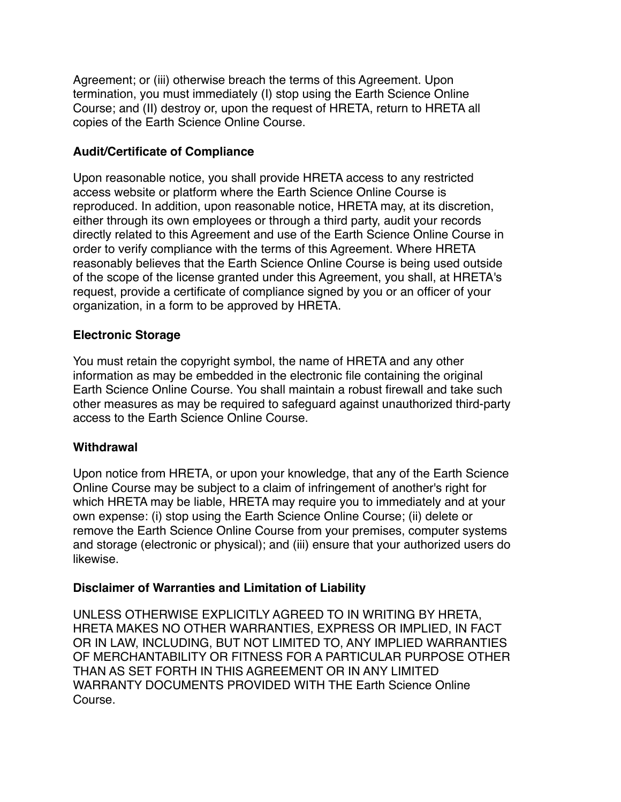Agreement; or (iii) otherwise breach the terms of this Agreement. Upon termination, you must immediately (I) stop using the Earth Science Online Course; and (II) destroy or, upon the request of HRETA, return to HRETA all copies of the Earth Science Online Course.

## **Audit/Certificate of Compliance**

Upon reasonable notice, you shall provide HRETA access to any restricted access website or platform where the Earth Science Online Course is reproduced. In addition, upon reasonable notice, HRETA may, at its discretion, either through its own employees or through a third party, audit your records directly related to this Agreement and use of the Earth Science Online Course in order to verify compliance with the terms of this Agreement. Where HRETA reasonably believes that the Earth Science Online Course is being used outside of the scope of the license granted under this Agreement, you shall, at HRETA's request, provide a certificate of compliance signed by you or an officer of your organization, in a form to be approved by HRETA.

## **Electronic Storage**

You must retain the copyright symbol, the name of HRETA and any other information as may be embedded in the electronic file containing the original Earth Science Online Course. You shall maintain a robust firewall and take such other measures as may be required to safeguard against unauthorized third-party access to the Earth Science Online Course.

## **Withdrawal**

Upon notice from HRETA, or upon your knowledge, that any of the Earth Science Online Course may be subject to a claim of infringement of another's right for which HRETA may be liable, HRETA may require you to immediately and at your own expense: (i) stop using the Earth Science Online Course; (ii) delete or remove the Earth Science Online Course from your premises, computer systems and storage (electronic or physical); and (iii) ensure that your authorized users do likewise.

# **Disclaimer of Warranties and Limitation of Liability**

UNLESS OTHERWISE EXPLICITLY AGREED TO IN WRITING BY HRETA, HRETA MAKES NO OTHER WARRANTIES, EXPRESS OR IMPLIED, IN FACT OR IN LAW, INCLUDING, BUT NOT LIMITED TO, ANY IMPLIED WARRANTIES OF MERCHANTABILITY OR FITNESS FOR A PARTICULAR PURPOSE OTHER THAN AS SET FORTH IN THIS AGREEMENT OR IN ANY LIMITED WARRANTY DOCUMENTS PROVIDED WITH THE Earth Science Online Course.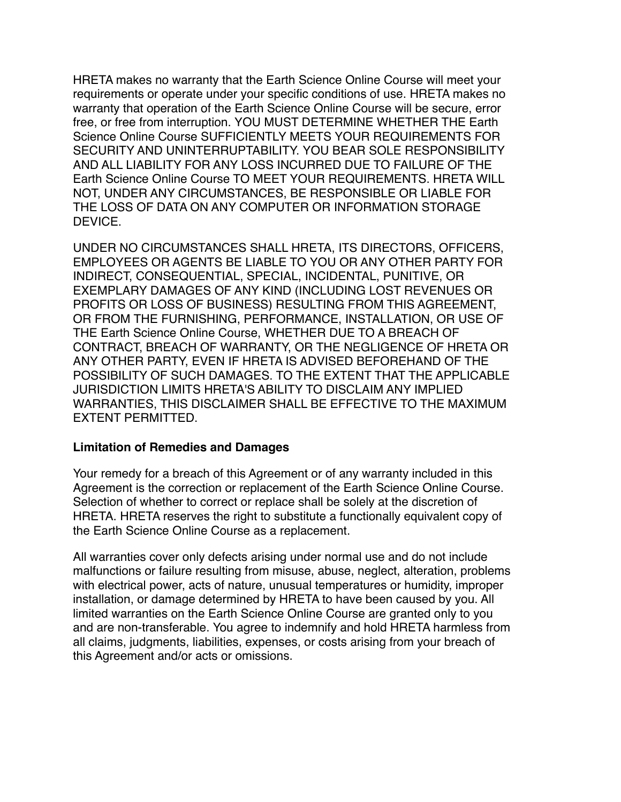HRETA makes no warranty that the Earth Science Online Course will meet your requirements or operate under your specific conditions of use. HRETA makes no warranty that operation of the Earth Science Online Course will be secure, error free, or free from interruption. YOU MUST DETERMINE WHETHER THE Earth Science Online Course SUFFICIENTLY MEETS YOUR REQUIREMENTS FOR SECURITY AND UNINTERRUPTABILITY. YOU BEAR SOLE RESPONSIBILITY AND ALL LIABILITY FOR ANY LOSS INCURRED DUE TO FAILURE OF THE Earth Science Online Course TO MEET YOUR REQUIREMENTS. HRETA WILL NOT, UNDER ANY CIRCUMSTANCES, BE RESPONSIBLE OR LIABLE FOR THE LOSS OF DATA ON ANY COMPUTER OR INFORMATION STORAGE DEVICE.

UNDER NO CIRCUMSTANCES SHALL HRETA, ITS DIRECTORS, OFFICERS, EMPLOYEES OR AGENTS BE LIABLE TO YOU OR ANY OTHER PARTY FOR INDIRECT, CONSEQUENTIAL, SPECIAL, INCIDENTAL, PUNITIVE, OR EXEMPLARY DAMAGES OF ANY KIND (INCLUDING LOST REVENUES OR PROFITS OR LOSS OF BUSINESS) RESULTING FROM THIS AGREEMENT, OR FROM THE FURNISHING, PERFORMANCE, INSTALLATION, OR USE OF THE Earth Science Online Course, WHETHER DUE TO A BREACH OF CONTRACT, BREACH OF WARRANTY, OR THE NEGLIGENCE OF HRETA OR ANY OTHER PARTY, EVEN IF HRETA IS ADVISED BEFOREHAND OF THE POSSIBILITY OF SUCH DAMAGES. TO THE EXTENT THAT THE APPLICABLE JURISDICTION LIMITS HRETA'S ABILITY TO DISCLAIM ANY IMPLIED WARRANTIES, THIS DISCLAIMER SHALL BE EFFECTIVE TO THE MAXIMUM EXTENT PERMITTED.

#### **Limitation of Remedies and Damages**

Your remedy for a breach of this Agreement or of any warranty included in this Agreement is the correction or replacement of the Earth Science Online Course. Selection of whether to correct or replace shall be solely at the discretion of HRETA. HRETA reserves the right to substitute a functionally equivalent copy of the Earth Science Online Course as a replacement.

All warranties cover only defects arising under normal use and do not include malfunctions or failure resulting from misuse, abuse, neglect, alteration, problems with electrical power, acts of nature, unusual temperatures or humidity, improper installation, or damage determined by HRETA to have been caused by you. All limited warranties on the Earth Science Online Course are granted only to you and are non-transferable. You agree to indemnify and hold HRETA harmless from all claims, judgments, liabilities, expenses, or costs arising from your breach of this Agreement and/or acts or omissions.